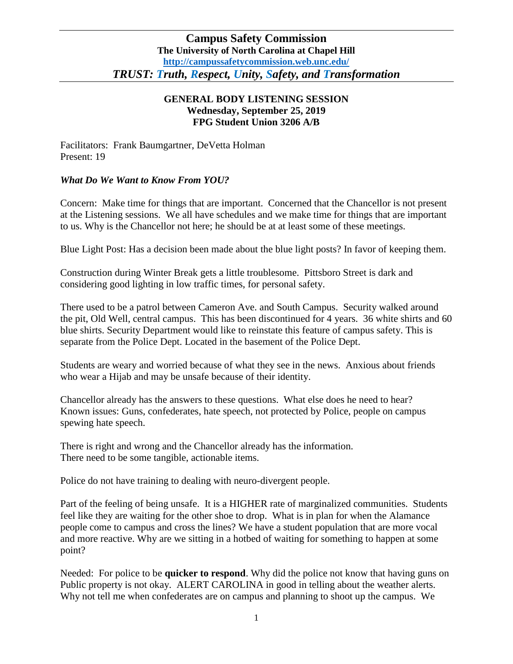## **GENERAL BODY LISTENING SESSION Wednesday, September 25, 2019 FPG Student Union 3206 A/B**

Facilitators: Frank Baumgartner, DeVetta Holman Present: 19

# *What Do We Want to Know From YOU?*

Concern: Make time for things that are important. Concerned that the Chancellor is not present at the Listening sessions. We all have schedules and we make time for things that are important to us. Why is the Chancellor not here; he should be at at least some of these meetings.

Blue Light Post: Has a decision been made about the blue light posts? In favor of keeping them.

Construction during Winter Break gets a little troublesome. Pittsboro Street is dark and considering good lighting in low traffic times, for personal safety.

There used to be a patrol between Cameron Ave. and South Campus. Security walked around the pit, Old Well, central campus. This has been discontinued for 4 years. 36 white shirts and 60 blue shirts. Security Department would like to reinstate this feature of campus safety. This is separate from the Police Dept. Located in the basement of the Police Dept.

Students are weary and worried because of what they see in the news. Anxious about friends who wear a Hijab and may be unsafe because of their identity.

Chancellor already has the answers to these questions. What else does he need to hear? Known issues: Guns, confederates, hate speech, not protected by Police, people on campus spewing hate speech.

There is right and wrong and the Chancellor already has the information. There need to be some tangible, actionable items.

Police do not have training to dealing with neuro-divergent people.

Part of the feeling of being unsafe. It is a HIGHER rate of marginalized communities. Students feel like they are waiting for the other shoe to drop. What is in plan for when the Alamance people come to campus and cross the lines? We have a student population that are more vocal and more reactive. Why are we sitting in a hotbed of waiting for something to happen at some point?

Needed: For police to be **quicker to respond**. Why did the police not know that having guns on Public property is not okay. ALERT CAROLINA in good in telling about the weather alerts. Why not tell me when confederates are on campus and planning to shoot up the campus. We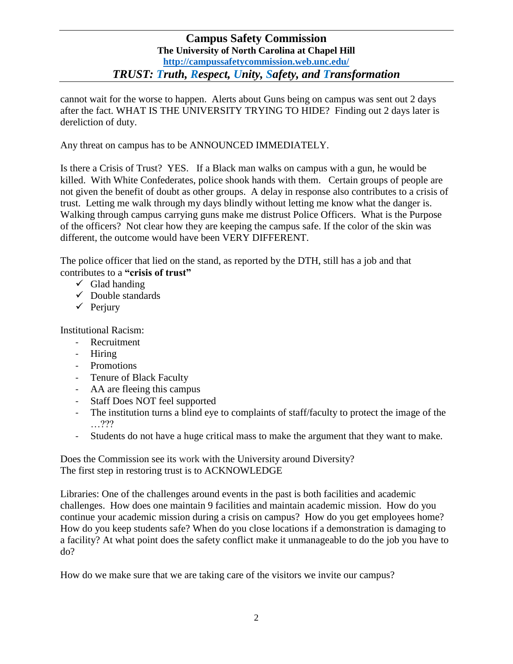cannot wait for the worse to happen. Alerts about Guns being on campus was sent out 2 days after the fact. WHAT IS THE UNIVERSITY TRYING TO HIDE? Finding out 2 days later is dereliction of duty.

Any threat on campus has to be ANNOUNCED IMMEDIATELY.

Is there a Crisis of Trust? YES. If a Black man walks on campus with a gun, he would be killed. With White Confederates, police shook hands with them. Certain groups of people are not given the benefit of doubt as other groups. A delay in response also contributes to a crisis of trust. Letting me walk through my days blindly without letting me know what the danger is. Walking through campus carrying guns make me distrust Police Officers. What is the Purpose of the officers? Not clear how they are keeping the campus safe. If the color of the skin was different, the outcome would have been VERY DIFFERENT.

The police officer that lied on the stand, as reported by the DTH, still has a job and that contributes to a **"crisis of trust"**

- $\checkmark$  Glad handing
- $\checkmark$  Double standards
- $\checkmark$  Perjury

Institutional Racism:

- Recruitment
- Hiring
- Promotions
- Tenure of Black Faculty
- AA are fleeing this campus
- Staff Does NOT feel supported
- The institution turns a blind eye to complaints of staff/faculty to protect the image of the …???
- Students do not have a huge critical mass to make the argument that they want to make.

Does the Commission see its work with the University around Diversity? The first step in restoring trust is to ACKNOWLEDGE

Libraries: One of the challenges around events in the past is both facilities and academic challenges. How does one maintain 9 facilities and maintain academic mission. How do you continue your academic mission during a crisis on campus? How do you get employees home? How do you keep students safe? When do you close locations if a demonstration is damaging to a facility? At what point does the safety conflict make it unmanageable to do the job you have to do?

How do we make sure that we are taking care of the visitors we invite our campus?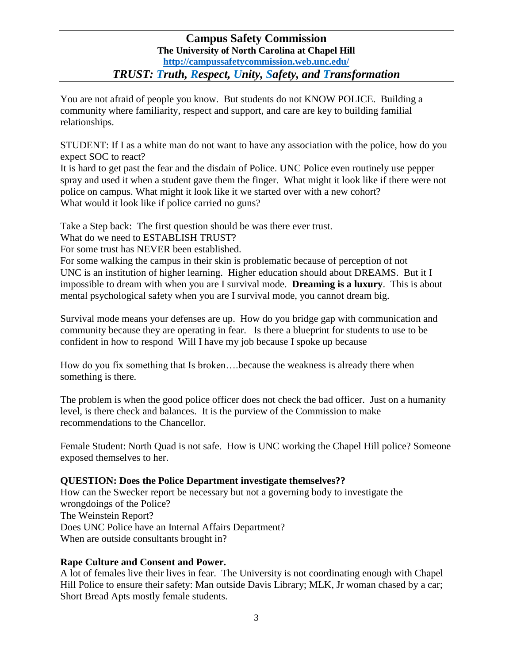You are not afraid of people you know. But students do not KNOW POLICE. Building a community where familiarity, respect and support, and care are key to building familial relationships.

STUDENT: If I as a white man do not want to have any association with the police, how do you expect SOC to react?

It is hard to get past the fear and the disdain of Police. UNC Police even routinely use pepper spray and used it when a student gave them the finger. What might it look like if there were not police on campus. What might it look like it we started over with a new cohort? What would it look like if police carried no guns?

Take a Step back: The first question should be was there ever trust.

What do we need to ESTABLISH TRUST?

For some trust has NEVER been established.

For some walking the campus in their skin is problematic because of perception of not UNC is an institution of higher learning. Higher education should about DREAMS. But it I impossible to dream with when you are I survival mode. **Dreaming is a luxury**. This is about mental psychological safety when you are I survival mode, you cannot dream big.

Survival mode means your defenses are up. How do you bridge gap with communication and community because they are operating in fear. Is there a blueprint for students to use to be confident in how to respond Will I have my job because I spoke up because

How do you fix something that Is broken….because the weakness is already there when something is there.

The problem is when the good police officer does not check the bad officer. Just on a humanity level, is there check and balances. It is the purview of the Commission to make recommendations to the Chancellor.

Female Student: North Quad is not safe. How is UNC working the Chapel Hill police? Someone exposed themselves to her.

# **QUESTION: Does the Police Department investigate themselves??**

How can the Swecker report be necessary but not a governing body to investigate the wrongdoings of the Police? The Weinstein Report? Does UNC Police have an Internal Affairs Department? When are outside consultants brought in?

# **Rape Culture and Consent and Power.**

A lot of females live their lives in fear. The University is not coordinating enough with Chapel Hill Police to ensure their safety: Man outside Davis Library; MLK, Jr woman chased by a car; Short Bread Apts mostly female students.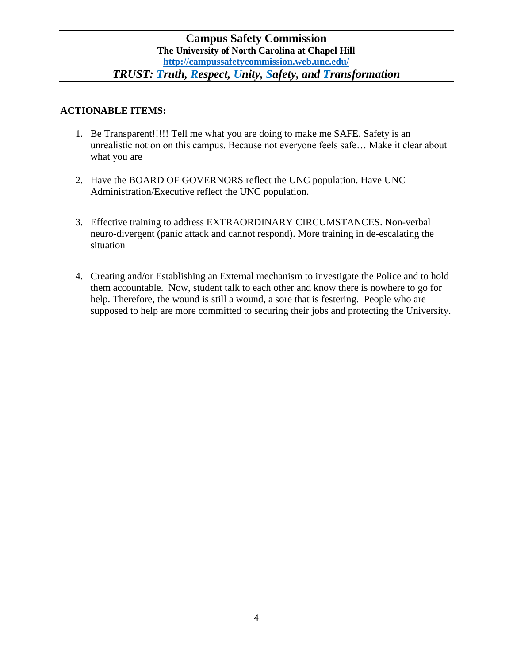## **ACTIONABLE ITEMS:**

- 1. Be Transparent!!!!! Tell me what you are doing to make me SAFE. Safety is an unrealistic notion on this campus. Because not everyone feels safe… Make it clear about what you are
- 2. Have the BOARD OF GOVERNORS reflect the UNC population. Have UNC Administration/Executive reflect the UNC population.
- 3. Effective training to address EXTRAORDINARY CIRCUMSTANCES. Non-verbal neuro-divergent (panic attack and cannot respond). More training in de-escalating the situation
- 4. Creating and/or Establishing an External mechanism to investigate the Police and to hold them accountable. Now, student talk to each other and know there is nowhere to go for help. Therefore, the wound is still a wound, a sore that is festering. People who are supposed to help are more committed to securing their jobs and protecting the University.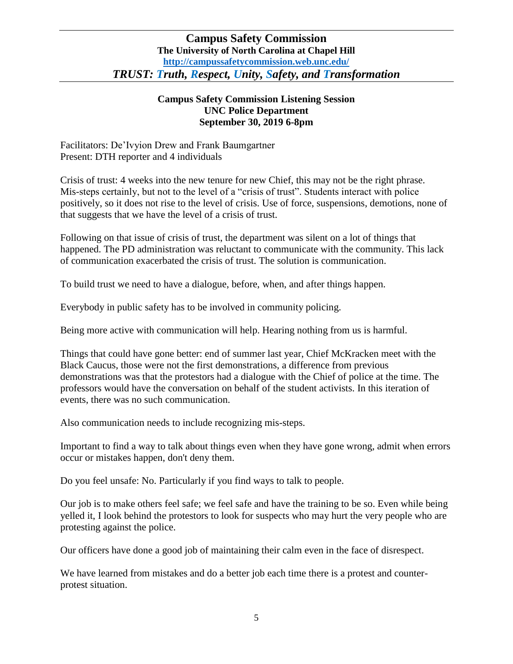#### **Campus Safety Commission Listening Session UNC Police Department September 30, 2019 6-8pm**

Facilitators: De'Ivyion Drew and Frank Baumgartner Present: DTH reporter and 4 individuals

Crisis of trust: 4 weeks into the new tenure for new Chief, this may not be the right phrase. Mis-steps certainly, but not to the level of a "crisis of trust". Students interact with police positively, so it does not rise to the level of crisis. Use of force, suspensions, demotions, none of that suggests that we have the level of a crisis of trust.

Following on that issue of crisis of trust, the department was silent on a lot of things that happened. The PD administration was reluctant to communicate with the community. This lack of communication exacerbated the crisis of trust. The solution is communication.

To build trust we need to have a dialogue, before, when, and after things happen.

Everybody in public safety has to be involved in community policing.

Being more active with communication will help. Hearing nothing from us is harmful.

Things that could have gone better: end of summer last year, Chief McKracken meet with the Black Caucus, those were not the first demonstrations, a difference from previous demonstrations was that the protestors had a dialogue with the Chief of police at the time. The professors would have the conversation on behalf of the student activists. In this iteration of events, there was no such communication.

Also communication needs to include recognizing mis-steps.

Important to find a way to talk about things even when they have gone wrong, admit when errors occur or mistakes happen, don't deny them.

Do you feel unsafe: No. Particularly if you find ways to talk to people.

Our job is to make others feel safe; we feel safe and have the training to be so. Even while being yelled it, I look behind the protestors to look for suspects who may hurt the very people who are protesting against the police.

Our officers have done a good job of maintaining their calm even in the face of disrespect.

We have learned from mistakes and do a better job each time there is a protest and counterprotest situation.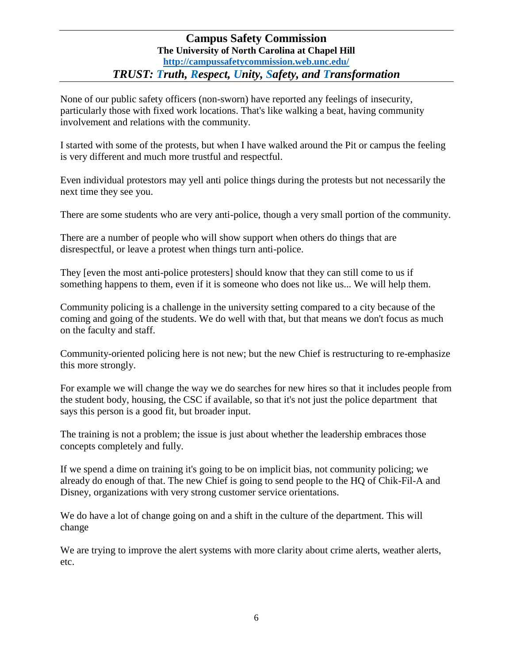None of our public safety officers (non-sworn) have reported any feelings of insecurity, particularly those with fixed work locations. That's like walking a beat, having community involvement and relations with the community.

I started with some of the protests, but when I have walked around the Pit or campus the feeling is very different and much more trustful and respectful.

Even individual protestors may yell anti police things during the protests but not necessarily the next time they see you.

There are some students who are very anti-police, though a very small portion of the community.

There are a number of people who will show support when others do things that are disrespectful, or leave a protest when things turn anti-police.

They [even the most anti-police protesters] should know that they can still come to us if something happens to them, even if it is someone who does not like us... We will help them.

Community policing is a challenge in the university setting compared to a city because of the coming and going of the students. We do well with that, but that means we don't focus as much on the faculty and staff.

Community-oriented policing here is not new; but the new Chief is restructuring to re-emphasize this more strongly.

For example we will change the way we do searches for new hires so that it includes people from the student body, housing, the CSC if available, so that it's not just the police department that says this person is a good fit, but broader input.

The training is not a problem; the issue is just about whether the leadership embraces those concepts completely and fully.

If we spend a dime on training it's going to be on implicit bias, not community policing; we already do enough of that. The new Chief is going to send people to the HQ of Chik-Fil-A and Disney, organizations with very strong customer service orientations.

We do have a lot of change going on and a shift in the culture of the department. This will change

We are trying to improve the alert systems with more clarity about crime alerts, weather alerts, etc.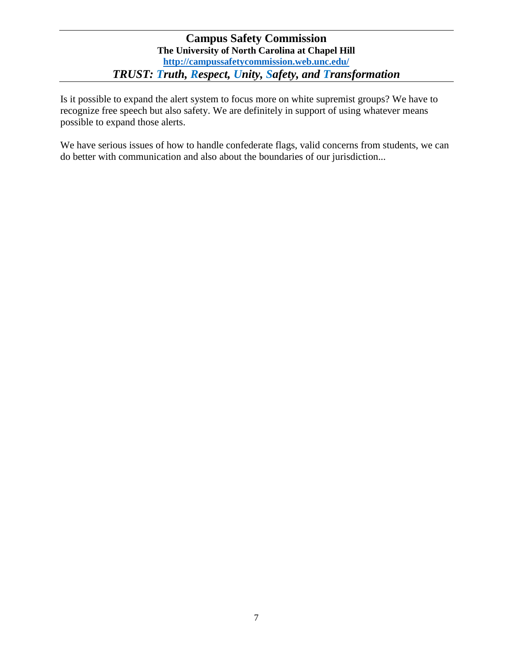Is it possible to expand the alert system to focus more on white supremist groups? We have to recognize free speech but also safety. We are definitely in support of using whatever means possible to expand those alerts.

We have serious issues of how to handle confederate flags, valid concerns from students, we can do better with communication and also about the boundaries of our jurisdiction...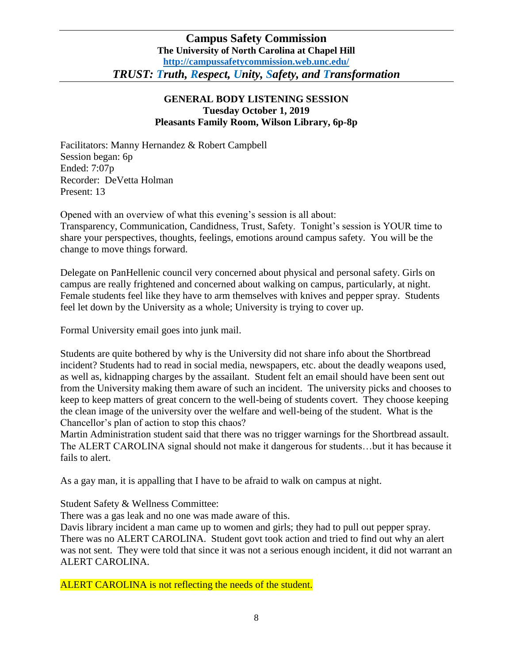## **GENERAL BODY LISTENING SESSION Tuesday October 1, 2019 Pleasants Family Room, Wilson Library, 6p-8p**

Facilitators: Manny Hernandez & Robert Campbell Session began: 6p Ended: 7:07p Recorder: DeVetta Holman Present: 13

Opened with an overview of what this evening's session is all about: Transparency, Communication, Candidness, Trust, Safety. Tonight's session is YOUR time to share your perspectives, thoughts, feelings, emotions around campus safety. You will be the change to move things forward.

Delegate on PanHellenic council very concerned about physical and personal safety. Girls on campus are really frightened and concerned about walking on campus, particularly, at night. Female students feel like they have to arm themselves with knives and pepper spray. Students feel let down by the University as a whole; University is trying to cover up.

Formal University email goes into junk mail.

Students are quite bothered by why is the University did not share info about the Shortbread incident? Students had to read in social media, newspapers, etc. about the deadly weapons used, as well as, kidnapping charges by the assailant. Student felt an email should have been sent out from the University making them aware of such an incident. The university picks and chooses to keep to keep matters of great concern to the well-being of students covert. They choose keeping the clean image of the university over the welfare and well-being of the student. What is the Chancellor's plan of action to stop this chaos?

Martin Administration student said that there was no trigger warnings for the Shortbread assault. The ALERT CAROLINA signal should not make it dangerous for students…but it has because it fails to alert.

As a gay man, it is appalling that I have to be afraid to walk on campus at night.

Student Safety & Wellness Committee:

There was a gas leak and no one was made aware of this.

Davis library incident a man came up to women and girls; they had to pull out pepper spray. There was no ALERT CAROLINA. Student govt took action and tried to find out why an alert was not sent. They were told that since it was not a serious enough incident, it did not warrant an ALERT CAROLINA.

ALERT CAROLINA is not reflecting the needs of the student.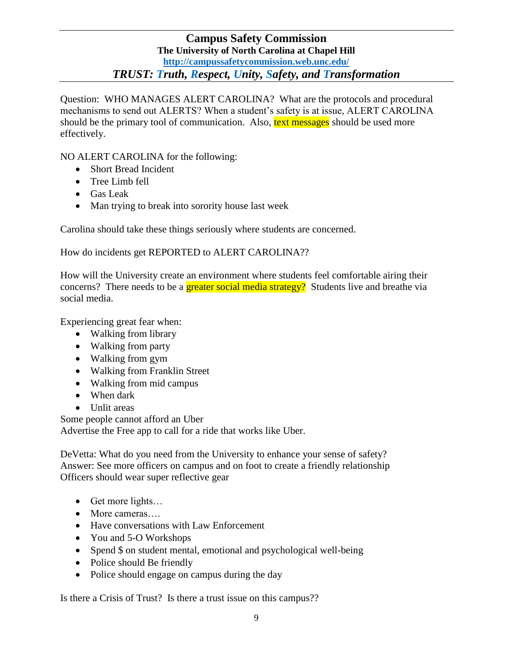Question: WHO MANAGES ALERT CAROLINA? What are the protocols and procedural mechanisms to send out ALERTS? When a student's safety is at issue, ALERT CAROLINA should be the primary tool of communication. Also, text messages should be used more effectively.

NO ALERT CAROLINA for the following:

- Short Bread Incident
- Tree Limb fell
- Gas Leak
- Man trying to break into sorority house last week

Carolina should take these things seriously where students are concerned.

How do incidents get REPORTED to ALERT CAROLINA??

How will the University create an environment where students feel comfortable airing their concerns? There needs to be a **greater social media strategy?** Students live and breathe via social media.

Experiencing great fear when:

- Walking from library
- Walking from party
- Walking from gym
- Walking from Franklin Street
- Walking from mid campus
- When dark
- Unlit areas

Some people cannot afford an Uber Advertise the Free app to call for a ride that works like Uber.

DeVetta: What do you need from the University to enhance your sense of safety? Answer: See more officers on campus and on foot to create a friendly relationship Officers should wear super reflective gear

- Get more lights...
- More cameras....
- Have conversations with Law Enforcement
- You and 5-O Workshops
- Spend \$ on student mental, emotional and psychological well-being
- Police should Be friendly
- Police should engage on campus during the day

Is there a Crisis of Trust? Is there a trust issue on this campus??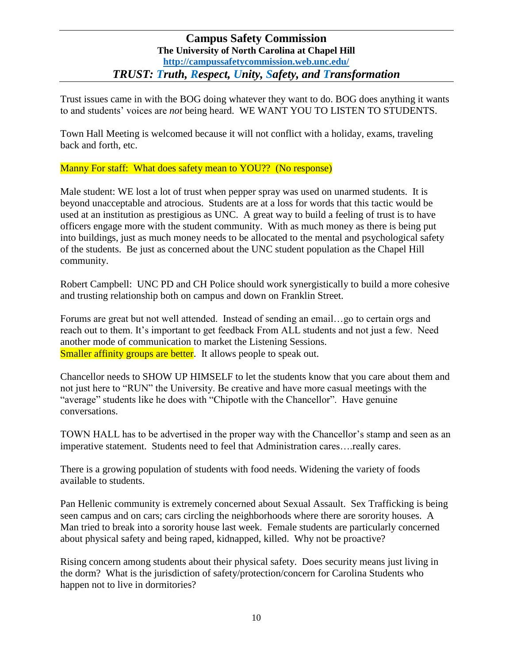Trust issues came in with the BOG doing whatever they want to do. BOG does anything it wants to and students' voices are *not* being heard. WE WANT YOU TO LISTEN TO STUDENTS.

Town Hall Meeting is welcomed because it will not conflict with a holiday, exams, traveling back and forth, etc.

Manny For staff: What does safety mean to YOU?? (No response)

Male student: WE lost a lot of trust when pepper spray was used on unarmed students. It is beyond unacceptable and atrocious. Students are at a loss for words that this tactic would be used at an institution as prestigious as UNC. A great way to build a feeling of trust is to have officers engage more with the student community. With as much money as there is being put into buildings, just as much money needs to be allocated to the mental and psychological safety of the students. Be just as concerned about the UNC student population as the Chapel Hill community.

Robert Campbell: UNC PD and CH Police should work synergistically to build a more cohesive and trusting relationship both on campus and down on Franklin Street.

Forums are great but not well attended. Instead of sending an email…go to certain orgs and reach out to them. It's important to get feedback From ALL students and not just a few. Need another mode of communication to market the Listening Sessions. **Smaller affinity groups are better.** It allows people to speak out.

Chancellor needs to SHOW UP HIMSELF to let the students know that you care about them and not just here to "RUN" the University. Be creative and have more casual meetings with the "average" students like he does with "Chipotle with the Chancellor". Have genuine conversations.

TOWN HALL has to be advertised in the proper way with the Chancellor's stamp and seen as an imperative statement. Students need to feel that Administration cares….really cares.

There is a growing population of students with food needs. Widening the variety of foods available to students.

Pan Hellenic community is extremely concerned about Sexual Assault. Sex Trafficking is being seen campus and on cars; cars circling the neighborhoods where there are sorority houses. A Man tried to break into a sorority house last week. Female students are particularly concerned about physical safety and being raped, kidnapped, killed. Why not be proactive?

Rising concern among students about their physical safety. Does security means just living in the dorm? What is the jurisdiction of safety/protection/concern for Carolina Students who happen not to live in dormitories?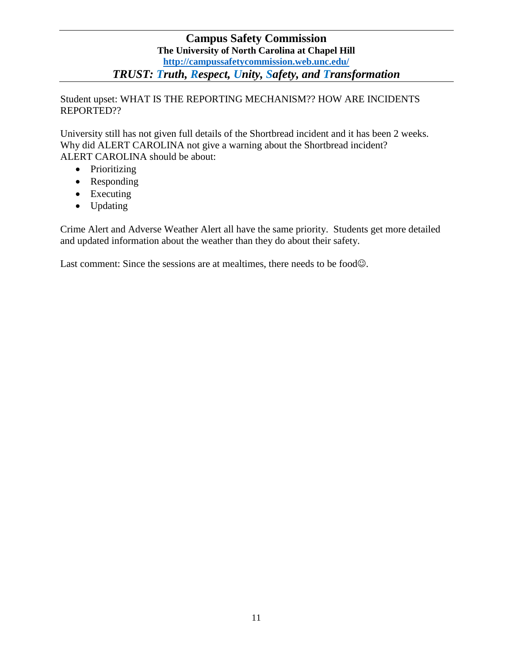Student upset: WHAT IS THE REPORTING MECHANISM?? HOW ARE INCIDENTS REPORTED??

University still has not given full details of the Shortbread incident and it has been 2 weeks. Why did ALERT CAROLINA not give a warning about the Shortbread incident? ALERT CAROLINA should be about:

- Prioritizing
- Responding
- Executing
- Updating

Crime Alert and Adverse Weather Alert all have the same priority. Students get more detailed and updated information about the weather than they do about their safety.

Last comment: Since the sessions are at mealtimes, there needs to be food $\odot$ .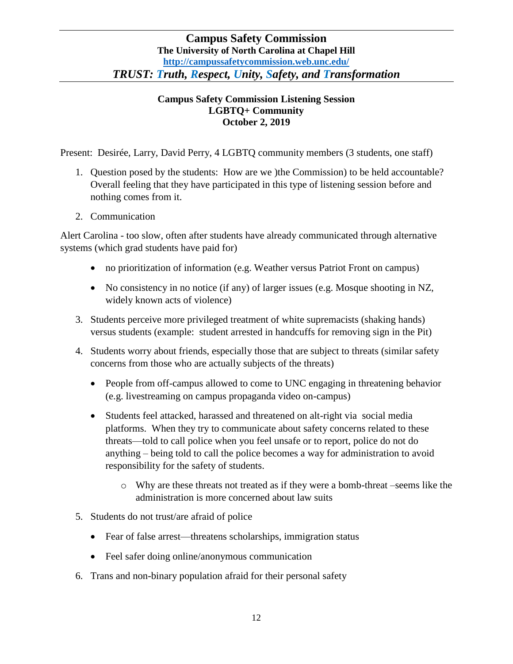## **Campus Safety Commission Listening Session LGBTQ+ Community October 2, 2019**

Present: Desirée, Larry, David Perry, 4 LGBTQ community members (3 students, one staff)

- 1. Question posed by the students: How are we )the Commission) to be held accountable? Overall feeling that they have participated in this type of listening session before and nothing comes from it.
- 2. Communication

Alert Carolina - too slow, often after students have already communicated through alternative systems (which grad students have paid for)

- no prioritization of information (e.g. Weather versus Patriot Front on campus)
- No consistency in no notice (if any) of larger issues (e.g. Mosque shooting in NZ, widely known acts of violence)
- 3. Students perceive more privileged treatment of white supremacists (shaking hands) versus students (example: student arrested in handcuffs for removing sign in the Pit)
- 4. Students worry about friends, especially those that are subject to threats (similar safety concerns from those who are actually subjects of the threats)
	- People from off-campus allowed to come to UNC engaging in threatening behavior (e.g. livestreaming on campus propaganda video on-campus)
	- Students feel attacked, harassed and threatened on alt-right via social media platforms. When they try to communicate about safety concerns related to these threats—told to call police when you feel unsafe or to report, police do not do anything – being told to call the police becomes a way for administration to avoid responsibility for the safety of students.
		- o Why are these threats not treated as if they were a bomb-threat –seems like the administration is more concerned about law suits
- 5. Students do not trust/are afraid of police
	- Fear of false arrest—threatens scholarships, immigration status
	- Feel safer doing online/anonymous communication
- 6. Trans and non-binary population afraid for their personal safety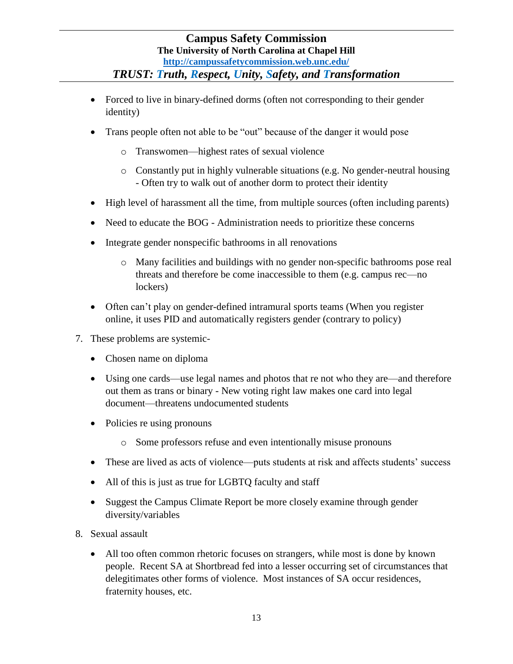- Forced to live in binary-defined dorms (often not corresponding to their gender identity)
- Trans people often not able to be "out" because of the danger it would pose
	- o Transwomen—highest rates of sexual violence
	- o Constantly put in highly vulnerable situations (e.g. No gender-neutral housing - Often try to walk out of another dorm to protect their identity
- High level of harassment all the time, from multiple sources (often including parents)
- Need to educate the BOG Administration needs to prioritize these concerns
- Integrate gender nonspecific bathrooms in all renovations
	- o Many facilities and buildings with no gender non-specific bathrooms pose real threats and therefore be come inaccessible to them (e.g. campus rec—no lockers)
- Often can't play on gender-defined intramural sports teams (When you register online, it uses PID and automatically registers gender (contrary to policy)
- 7. These problems are systemic-
	- Chosen name on diploma
	- Using one cards—use legal names and photos that re not who they are—and therefore out them as trans or binary - New voting right law makes one card into legal document—threatens undocumented students
	- Policies re using pronouns
		- o Some professors refuse and even intentionally misuse pronouns
	- These are lived as acts of violence—puts students at risk and affects students' success
	- All of this is just as true for LGBTQ faculty and staff
	- Suggest the Campus Climate Report be more closely examine through gender diversity/variables
- 8. Sexual assault
	- All too often common rhetoric focuses on strangers, while most is done by known people. Recent SA at Shortbread fed into a lesser occurring set of circumstances that delegitimates other forms of violence. Most instances of SA occur residences, fraternity houses, etc.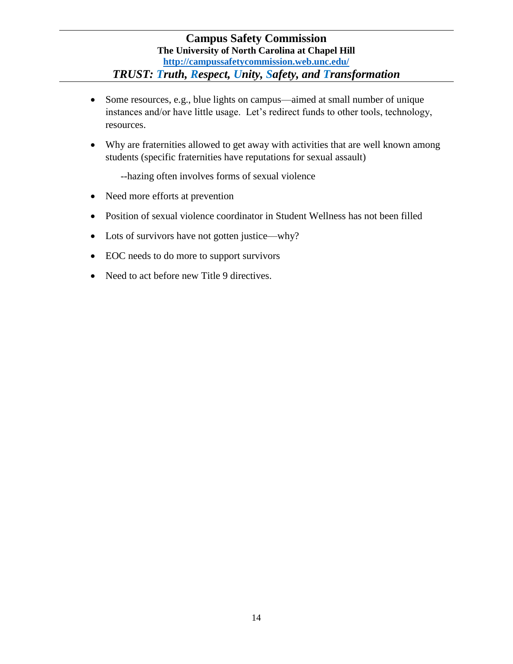- Some resources, e.g., blue lights on campus—aimed at small number of unique instances and/or have little usage. Let's redirect funds to other tools, technology, resources.
- Why are fraternities allowed to get away with activities that are well known among students (specific fraternities have reputations for sexual assault)

--hazing often involves forms of sexual violence

- Need more efforts at prevention
- Position of sexual violence coordinator in Student Wellness has not been filled
- Lots of survivors have not gotten justice—why?
- EOC needs to do more to support survivors
- Need to act before new Title 9 directives.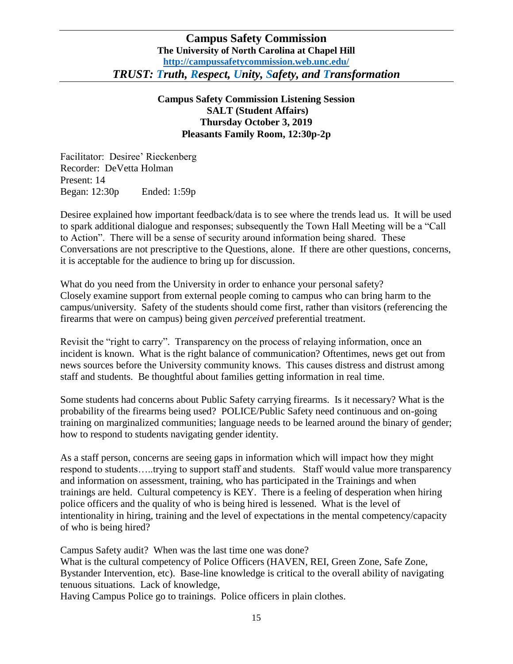**Campus Safety Commission Listening Session SALT (Student Affairs) Thursday October 3, 2019 Pleasants Family Room, 12:30p-2p**

Facilitator: Desiree' Rieckenberg Recorder: DeVetta Holman Present: 14 Began: 12:30p Ended: 1:59p

Desiree explained how important feedback/data is to see where the trends lead us. It will be used to spark additional dialogue and responses; subsequently the Town Hall Meeting will be a "Call to Action". There will be a sense of security around information being shared. These Conversations are not prescriptive to the Questions, alone. If there are other questions, concerns, it is acceptable for the audience to bring up for discussion.

What do you need from the University in order to enhance your personal safety? Closely examine support from external people coming to campus who can bring harm to the campus/university. Safety of the students should come first, rather than visitors (referencing the firearms that were on campus) being given *perceived* preferential treatment.

Revisit the "right to carry". Transparency on the process of relaying information, once an incident is known. What is the right balance of communication? Oftentimes, news get out from news sources before the University community knows. This causes distress and distrust among staff and students. Be thoughtful about families getting information in real time.

Some students had concerns about Public Safety carrying firearms. Is it necessary? What is the probability of the firearms being used? POLICE/Public Safety need continuous and on-going training on marginalized communities; language needs to be learned around the binary of gender; how to respond to students navigating gender identity.

As a staff person, concerns are seeing gaps in information which will impact how they might respond to students…..trying to support staff and students. Staff would value more transparency and information on assessment, training, who has participated in the Trainings and when trainings are held. Cultural competency is KEY. There is a feeling of desperation when hiring police officers and the quality of who is being hired is lessened. What is the level of intentionality in hiring, training and the level of expectations in the mental competency/capacity of who is being hired?

Campus Safety audit? When was the last time one was done?

What is the cultural competency of Police Officers (HAVEN, REI, Green Zone, Safe Zone, Bystander Intervention, etc). Base-line knowledge is critical to the overall ability of navigating tenuous situations. Lack of knowledge,

Having Campus Police go to trainings. Police officers in plain clothes.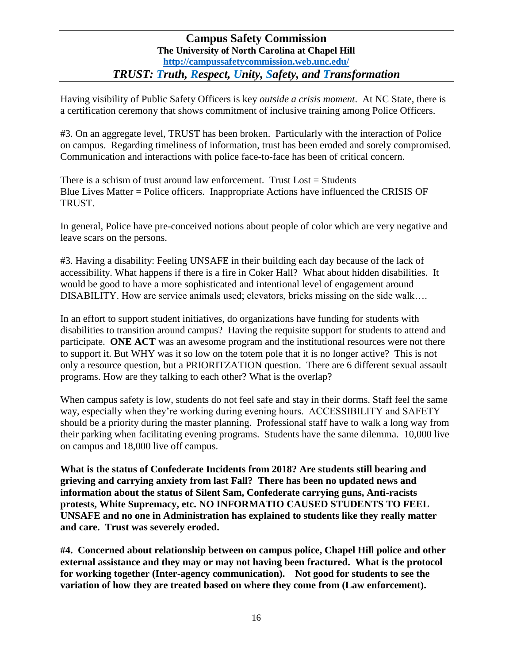Having visibility of Public Safety Officers is key *outside a crisis moment*. At NC State, there is a certification ceremony that shows commitment of inclusive training among Police Officers.

#3. On an aggregate level, TRUST has been broken. Particularly with the interaction of Police on campus. Regarding timeliness of information, trust has been eroded and sorely compromised. Communication and interactions with police face-to-face has been of critical concern.

There is a schism of trust around law enforcement. Trust  $\text{Loss} = \text{Students}$ Blue Lives Matter = Police officers. Inappropriate Actions have influenced the CRISIS OF TRUST.

In general, Police have pre-conceived notions about people of color which are very negative and leave scars on the persons.

#3. Having a disability: Feeling UNSAFE in their building each day because of the lack of accessibility. What happens if there is a fire in Coker Hall? What about hidden disabilities. It would be good to have a more sophisticated and intentional level of engagement around DISABILITY. How are service animals used; elevators, bricks missing on the side walk….

In an effort to support student initiatives, do organizations have funding for students with disabilities to transition around campus? Having the requisite support for students to attend and participate. **ONE ACT** was an awesome program and the institutional resources were not there to support it. But WHY was it so low on the totem pole that it is no longer active? This is not only a resource question, but a PRIORITZATION question. There are 6 different sexual assault programs. How are they talking to each other? What is the overlap?

When campus safety is low, students do not feel safe and stay in their dorms. Staff feel the same way, especially when they're working during evening hours. ACCESSIBILITY and SAFETY should be a priority during the master planning. Professional staff have to walk a long way from their parking when facilitating evening programs. Students have the same dilemma. 10,000 live on campus and 18,000 live off campus.

**What is the status of Confederate Incidents from 2018? Are students still bearing and grieving and carrying anxiety from last Fall? There has been no updated news and information about the status of Silent Sam, Confederate carrying guns, Anti-racists protests, White Supremacy, etc. NO INFORMATIO CAUSED STUDENTS TO FEEL UNSAFE and no one in Administration has explained to students like they really matter and care. Trust was severely eroded.** 

**#4. Concerned about relationship between on campus police, Chapel Hill police and other external assistance and they may or may not having been fractured. What is the protocol for working together (Inter-agency communication). Not good for students to see the variation of how they are treated based on where they come from (Law enforcement).**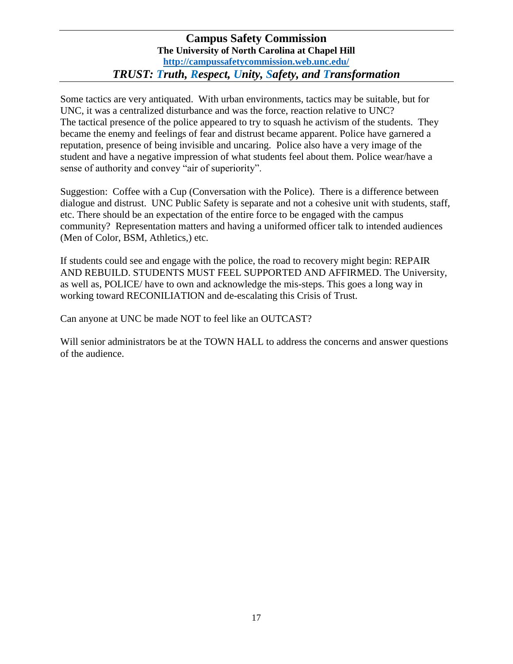Some tactics are very antiquated. With urban environments, tactics may be suitable, but for UNC, it was a centralized disturbance and was the force, reaction relative to UNC? The tactical presence of the police appeared to try to squash he activism of the students. They became the enemy and feelings of fear and distrust became apparent. Police have garnered a reputation, presence of being invisible and uncaring. Police also have a very image of the student and have a negative impression of what students feel about them. Police wear/have a sense of authority and convey "air of superiority".

Suggestion: Coffee with a Cup (Conversation with the Police). There is a difference between dialogue and distrust. UNC Public Safety is separate and not a cohesive unit with students, staff, etc. There should be an expectation of the entire force to be engaged with the campus community? Representation matters and having a uniformed officer talk to intended audiences (Men of Color, BSM, Athletics,) etc.

If students could see and engage with the police, the road to recovery might begin: REPAIR AND REBUILD. STUDENTS MUST FEEL SUPPORTED AND AFFIRMED. The University, as well as, POLICE/ have to own and acknowledge the mis-steps. This goes a long way in working toward RECONILIATION and de-escalating this Crisis of Trust.

Can anyone at UNC be made NOT to feel like an OUTCAST?

Will senior administrators be at the TOWN HALL to address the concerns and answer questions of the audience.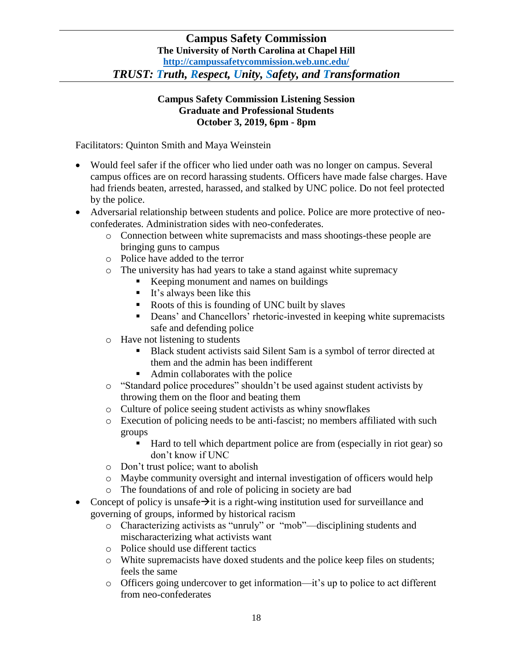#### **Campus Safety Commission Listening Session Graduate and Professional Students October 3, 2019, 6pm - 8pm**

Facilitators: Quinton Smith and Maya Weinstein

- Would feel safer if the officer who lied under oath was no longer on campus. Several campus offices are on record harassing students. Officers have made false charges. Have had friends beaten, arrested, harassed, and stalked by UNC police. Do not feel protected by the police.
- Adversarial relationship between students and police. Police are more protective of neoconfederates. Administration sides with neo-confederates.
	- o Connection between white supremacists and mass shootings-these people are bringing guns to campus
	- o Police have added to the terror
	- o The university has had years to take a stand against white supremacy
		- Keeping monument and names on buildings
		- $\blacksquare$  It's always been like this
		- Roots of this is founding of UNC built by slaves
		- Deans' and Chancellors' rhetoric-invested in keeping white supremacists safe and defending police
	- o Have not listening to students
		- Black student activists said Silent Sam is a symbol of terror directed at them and the admin has been indifferent
		- Admin collaborates with the police
	- o "Standard police procedures" shouldn't be used against student activists by throwing them on the floor and beating them
	- o Culture of police seeing student activists as whiny snowflakes
	- o Execution of policing needs to be anti-fascist; no members affiliated with such groups
		- Hard to tell which department police are from (especially in riot gear) so don't know if UNC
	- o Don't trust police; want to abolish
	- o Maybe community oversight and internal investigation of officers would help
	- o The foundations of and role of policing in society are bad
- Concept of policy is unsafe $\rightarrow$ it is a right-wing institution used for surveillance and governing of groups, informed by historical racism
	- o Characterizing activists as "unruly" or "mob"—disciplining students and mischaracterizing what activists want
	- o Police should use different tactics
	- o White supremacists have doxed students and the police keep files on students; feels the same
	- o Officers going undercover to get information—it's up to police to act different from neo-confederates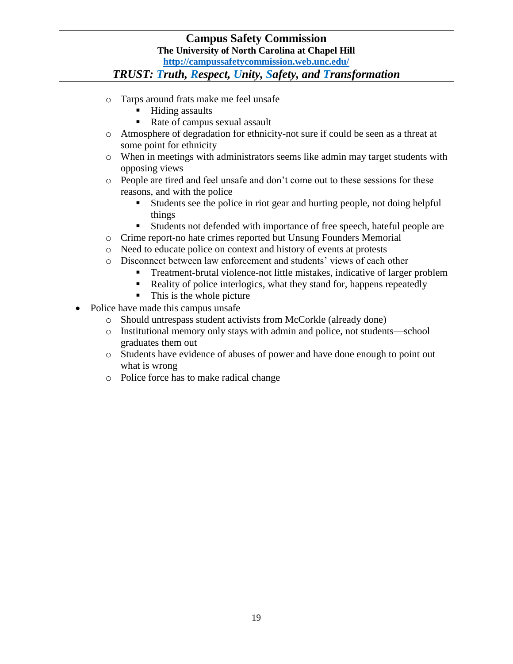# *TRUST: Truth, Respect, Unity, Safety, and Transformation*

- o Tarps around frats make me feel unsafe
	- Hiding assaults
	- Rate of campus sexual assault
- o Atmosphere of degradation for ethnicity-not sure if could be seen as a threat at some point for ethnicity
- o When in meetings with administrators seems like admin may target students with opposing views
- o People are tired and feel unsafe and don't come out to these sessions for these reasons, and with the police
	- Students see the police in riot gear and hurting people, not doing helpful things
	- Students not defended with importance of free speech, hateful people are
- o Crime report-no hate crimes reported but Unsung Founders Memorial
- o Need to educate police on context and history of events at protests
- o Disconnect between law enforcement and students' views of each other
	- Treatment-brutal violence-not little mistakes, indicative of larger problem
		- Reality of police interlogics, what they stand for, happens repeatedly
		- This is the whole picture
- Police have made this campus unsafe
	- o Should untrespass student activists from McCorkle (already done)
	- o Institutional memory only stays with admin and police, not students—school graduates them out
	- o Students have evidence of abuses of power and have done enough to point out what is wrong
	- o Police force has to make radical change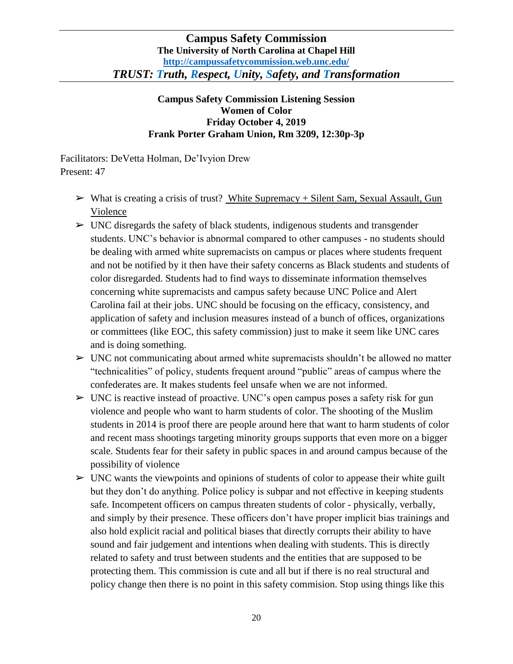# **Campus Safety Commission Listening Session Women of Color Friday October 4, 2019 Frank Porter Graham Union, Rm 3209, 12:30p-3p**

Facilitators: DeVetta Holman, De'Ivyion Drew Present: 47

- $\triangleright$  What is creating a crisis of trust? White Supremacy + Silent Sam, Sexual Assault, Gun Violence
- $\triangleright$  UNC disregards the safety of black students, indigenous students and transgender students. UNC's behavior is abnormal compared to other campuses - no students should be dealing with armed white supremacists on campus or places where students frequent and not be notified by it then have their safety concerns as Black students and students of color disregarded. Students had to find ways to disseminate information themselves concerning white supremacists and campus safety because UNC Police and Alert Carolina fail at their jobs. UNC should be focusing on the efficacy, consistency, and application of safety and inclusion measures instead of a bunch of offices, organizations or committees (like EOC, this safety commission) just to make it seem like UNC cares and is doing something.
- $\triangleright$  UNC not communicating about armed white supremacists shouldn't be allowed no matter "technicalities" of policy, students frequent around "public" areas of campus where the confederates are. It makes students feel unsafe when we are not informed.
- $\triangleright$  UNC is reactive instead of proactive. UNC's open campus poses a safety risk for gun violence and people who want to harm students of color. The shooting of the Muslim students in 2014 is proof there are people around here that want to harm students of color and recent mass shootings targeting minority groups supports that even more on a bigger scale. Students fear for their safety in public spaces in and around campus because of the possibility of violence
- $\triangleright$  UNC wants the viewpoints and opinions of students of color to appease their white guilt but they don't do anything. Police policy is subpar and not effective in keeping students safe. Incompetent officers on campus threaten students of color - physically, verbally, and simply by their presence. These officers don't have proper implicit bias trainings and also hold explicit racial and political biases that directly corrupts their ability to have sound and fair judgement and intentions when dealing with students. This is directly related to safety and trust between students and the entities that are supposed to be protecting them. This commission is cute and all but if there is no real structural and policy change then there is no point in this safety commision. Stop using things like this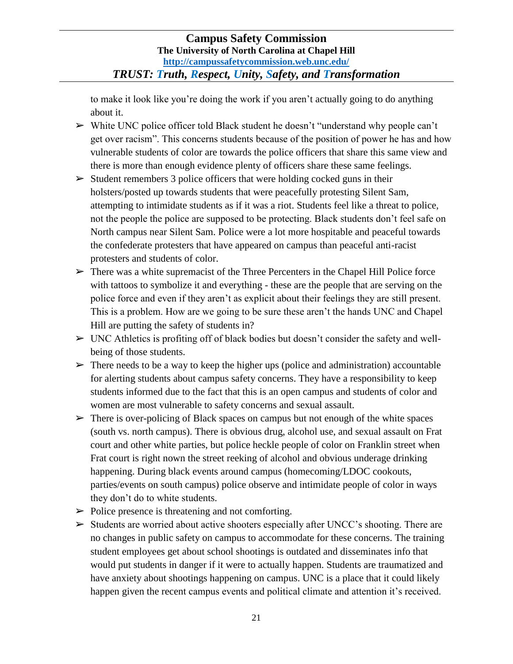to make it look like you're doing the work if you aren't actually going to do anything about it.

- $\triangleright$  White UNC police officer told Black student he doesn't "understand why people can't get over racism". This concerns students because of the position of power he has and how vulnerable students of color are towards the police officers that share this same view and there is more than enough evidence plenty of officers share these same feelings.
- $\triangleright$  Student remembers 3 police officers that were holding cocked guns in their holsters/posted up towards students that were peacefully protesting Silent Sam, attempting to intimidate students as if it was a riot. Students feel like a threat to police, not the people the police are supposed to be protecting. Black students don't feel safe on North campus near Silent Sam. Police were a lot more hospitable and peaceful towards the confederate protesters that have appeared on campus than peaceful anti-racist protesters and students of color.
- $\triangleright$  There was a white supremacist of the Three Percenters in the Chapel Hill Police force with tattoos to symbolize it and everything - these are the people that are serving on the police force and even if they aren't as explicit about their feelings they are still present. This is a problem. How are we going to be sure these aren't the hands UNC and Chapel Hill are putting the safety of students in?
- $\triangleright$  UNC Athletics is profiting off of black bodies but doesn't consider the safety and wellbeing of those students.
- $\triangleright$  There needs to be a way to keep the higher ups (police and administration) accountable for alerting students about campus safety concerns. They have a responsibility to keep students informed due to the fact that this is an open campus and students of color and women are most vulnerable to safety concerns and sexual assault.
- $\triangleright$  There is over-policing of Black spaces on campus but not enough of the white spaces (south vs. north campus). There is obvious drug, alcohol use, and sexual assault on Frat court and other white parties, but police heckle people of color on Franklin street when Frat court is right nown the street reeking of alcohol and obvious underage drinking happening. During black events around campus (homecoming/LDOC cookouts, parties/events on south campus) police observe and intimidate people of color in ways they don't do to white students.
- $\triangleright$  Police presence is threatening and not comforting.
- $\triangleright$  Students are worried about active shooters especially after UNCC's shooting. There are no changes in public safety on campus to accommodate for these concerns. The training student employees get about school shootings is outdated and disseminates info that would put students in danger if it were to actually happen. Students are traumatized and have anxiety about shootings happening on campus. UNC is a place that it could likely happen given the recent campus events and political climate and attention it's received.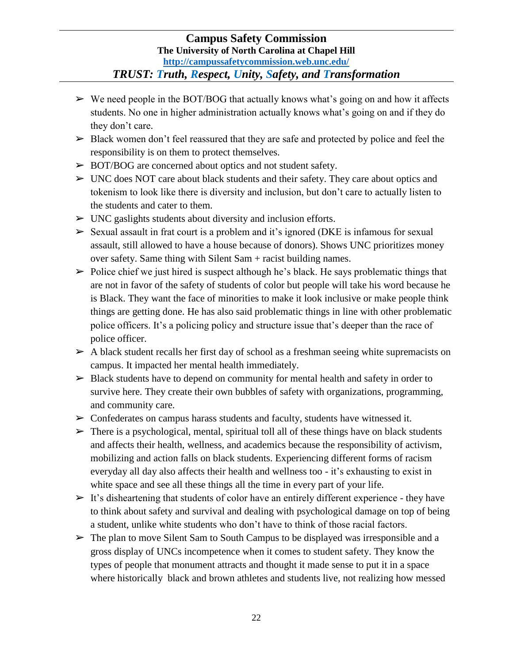*TRUST: Truth, Respect, Unity, Safety, and Transformation*

- $\triangleright$  We need people in the BOT/BOG that actually knows what's going on and how it affects students. No one in higher administration actually knows what's going on and if they do they don't care.
- $\triangleright$  Black women don't feel reassured that they are safe and protected by police and feel the responsibility is on them to protect themselves.
- ➢ BOT/BOG are concerned about optics and not student safety.
- $\triangleright$  UNC does NOT care about black students and their safety. They care about optics and tokenism to look like there is diversity and inclusion, but don't care to actually listen to the students and cater to them.
- $\triangleright$  UNC gas lights students about diversity and inclusion efforts.
- $\triangleright$  Sexual assault in frat court is a problem and it's ignored (DKE is infamous for sexual assault, still allowed to have a house because of donors). Shows UNC prioritizes money over safety. Same thing with Silent Sam + racist building names.
- $\triangleright$  Police chief we just hired is suspect although he's black. He says problematic things that are not in favor of the safety of students of color but people will take his word because he is Black. They want the face of minorities to make it look inclusive or make people think things are getting done. He has also said problematic things in line with other problematic police officers. It's a policing policy and structure issue that's deeper than the race of police officer.
- $\triangleright$  A black student recalls her first day of school as a freshman seeing white supremacists on campus. It impacted her mental health immediately.
- $\triangleright$  Black students have to depend on community for mental health and safety in order to survive here. They create their own bubbles of safety with organizations, programming, and community care.
- $\triangleright$  Confederates on campus harass students and faculty, students have witnessed it.
- $\triangleright$  There is a psychological, mental, spiritual toll all of these things have on black students and affects their health, wellness, and academics because the responsibility of activism, mobilizing and action falls on black students. Experiencing different forms of racism everyday all day also affects their health and wellness too - it's exhausting to exist in white space and see all these things all the time in every part of your life.
- $\triangleright$  It's disheartening that students of color have an entirely different experience they have to think about safety and survival and dealing with psychological damage on top of being a student, unlike white students who don't have to think of those racial factors.
- $\triangleright$  The plan to move Silent Sam to South Campus to be displayed was irresponsible and a gross display of UNCs incompetence when it comes to student safety. They know the types of people that monument attracts and thought it made sense to put it in a space where historically black and brown athletes and students live, not realizing how messed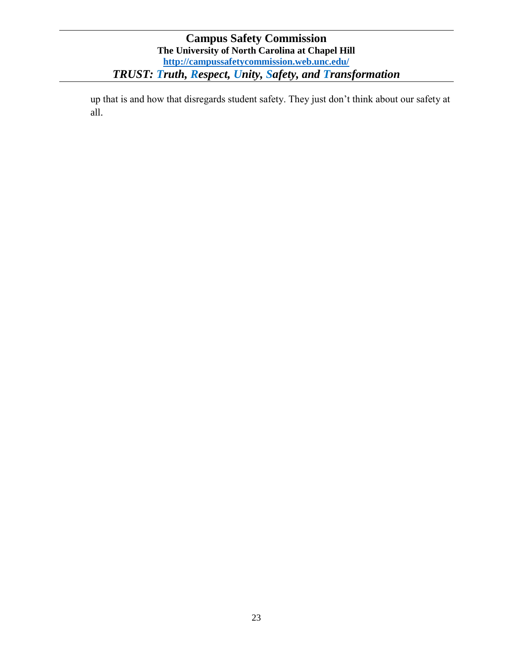up that is and how that disregards student safety. They just don't think about our safety at all.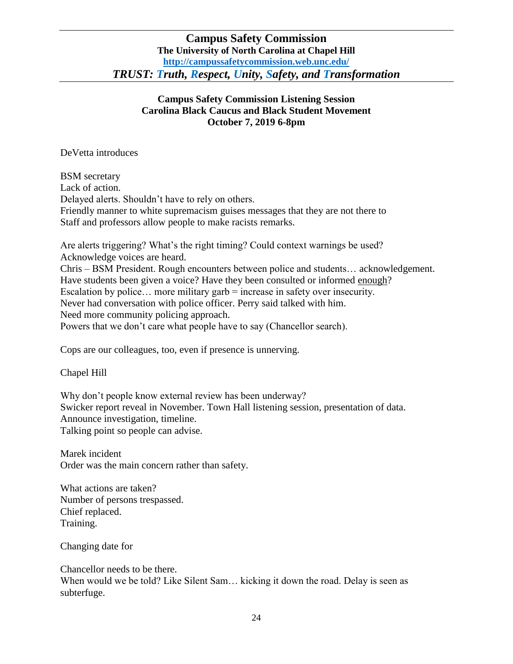# **Campus Safety Commission Listening Session Carolina Black Caucus and Black Student Movement October 7, 2019 6-8pm**

DeVetta introduces

BSM secretary Lack of action. Delayed alerts. Shouldn't have to rely on others. Friendly manner to white supremacism guises messages that they are not there to Staff and professors allow people to make racists remarks.

Are alerts triggering? What's the right timing? Could context warnings be used? Acknowledge voices are heard. Chris – BSM President. Rough encounters between police and students… acknowledgement. Have students been given a voice? Have they been consulted or informed enough? Escalation by police… more military garb = increase in safety over insecurity. Never had conversation with police officer. Perry said talked with him. Need more community policing approach. Powers that we don't care what people have to say (Chancellor search).

Cops are our colleagues, too, even if presence is unnerving.

Chapel Hill

Why don't people know external review has been underway? Swicker report reveal in November. Town Hall listening session, presentation of data. Announce investigation, timeline. Talking point so people can advise.

Marek incident Order was the main concern rather than safety.

What actions are taken? Number of persons trespassed. Chief replaced. Training.

Changing date for

Chancellor needs to be there. When would we be told? Like Silent Sam… kicking it down the road. Delay is seen as subterfuge.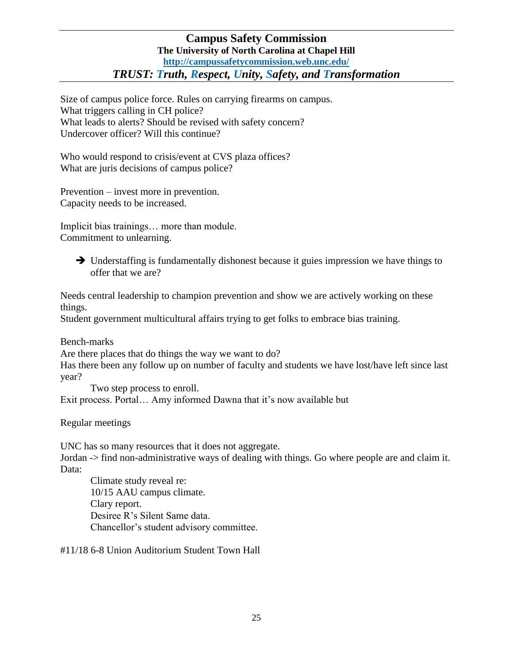Size of campus police force. Rules on carrying firearms on campus. What triggers calling in CH police? What leads to alerts? Should be revised with safety concern? Undercover officer? Will this continue?

Who would respond to crisis/event at CVS plaza offices? What are juris decisions of campus police?

Prevention – invest more in prevention. Capacity needs to be increased.

Implicit bias trainings… more than module. Commitment to unlearning.

 Understaffing is fundamentally dishonest because it guies impression we have things to offer that we are?

Needs central leadership to champion prevention and show we are actively working on these things.

Student government multicultural affairs trying to get folks to embrace bias training.

Bench-marks

Are there places that do things the way we want to do?

Has there been any follow up on number of faculty and students we have lost/have left since last year?

Two step process to enroll. Exit process. Portal… Amy informed Dawna that it's now available but

Regular meetings

UNC has so many resources that it does not aggregate.

Jordan -> find non-administrative ways of dealing with things. Go where people are and claim it. Data:

Climate study reveal re: 10/15 AAU campus climate. Clary report. Desiree R's Silent Same data. Chancellor's student advisory committee.

#11/18 6-8 Union Auditorium Student Town Hall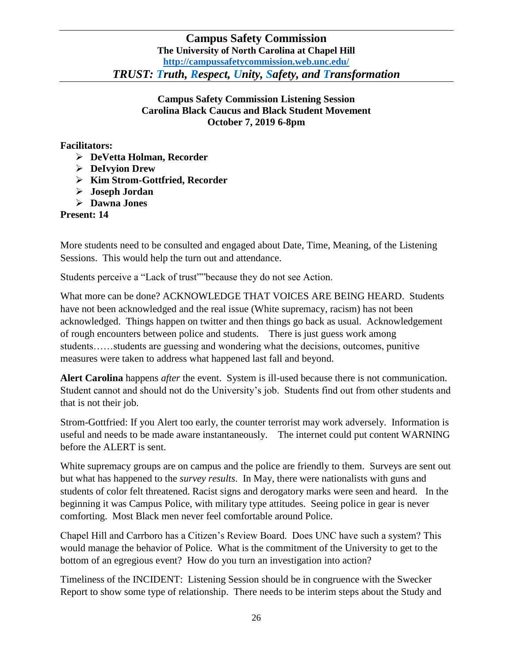# **Campus Safety Commission Listening Session Carolina Black Caucus and Black Student Movement October 7, 2019 6-8pm**

## **Facilitators:**

- **DeVetta Holman, Recorder**
- **DeIvyion Drew**
- **Kim Strom-Gottfried, Recorder**
- **Joseph Jordan**
- **Dawna Jones**

## **Present: 14**

More students need to be consulted and engaged about Date, Time, Meaning, of the Listening Sessions. This would help the turn out and attendance.

Students perceive a "Lack of trust""because they do not see Action.

What more can be done? ACKNOWLEDGE THAT VOICES ARE BEING HEARD. Students have not been acknowledged and the real issue (White supremacy, racism) has not been acknowledged. Things happen on twitter and then things go back as usual. Acknowledgement of rough encounters between police and students. There is just guess work among students……students are guessing and wondering what the decisions, outcomes, punitive measures were taken to address what happened last fall and beyond.

**Alert Carolina** happens *after* the event. System is ill-used because there is not communication. Student cannot and should not do the University's job. Students find out from other students and that is not their job.

Strom-Gottfried: If you Alert too early, the counter terrorist may work adversely. Information is useful and needs to be made aware instantaneously. The internet could put content WARNING before the ALERT is sent.

White supremacy groups are on campus and the police are friendly to them. Surveys are sent out but what has happened to the *survey results*. In May, there were nationalists with guns and students of color felt threatened. Racist signs and derogatory marks were seen and heard. In the beginning it was Campus Police, with military type attitudes. Seeing police in gear is never comforting. Most Black men never feel comfortable around Police.

Chapel Hill and Carrboro has a Citizen's Review Board. Does UNC have such a system? This would manage the behavior of Police. What is the commitment of the University to get to the bottom of an egregious event? How do you turn an investigation into action?

Timeliness of the INCIDENT: Listening Session should be in congruence with the Swecker Report to show some type of relationship. There needs to be interim steps about the Study and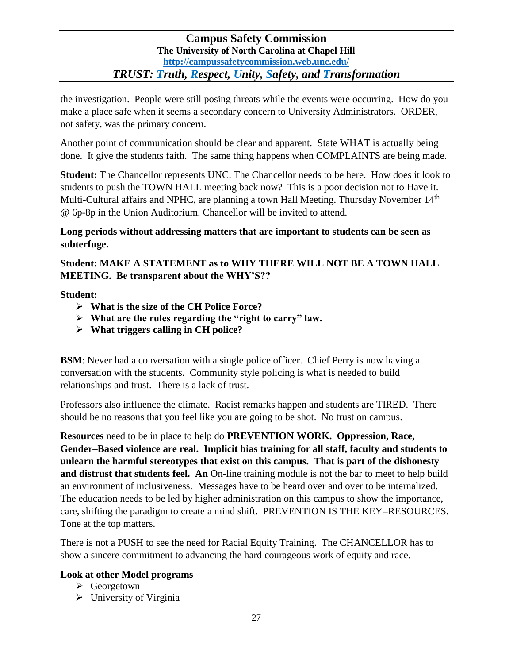the investigation. People were still posing threats while the events were occurring. How do you make a place safe when it seems a secondary concern to University Administrators. ORDER, not safety, was the primary concern.

Another point of communication should be clear and apparent. State WHAT is actually being done. It give the students faith. The same thing happens when COMPLAINTS are being made.

**Student:** The Chancellor represents UNC. The Chancellor needs to be here. How does it look to students to push the TOWN HALL meeting back now? This is a poor decision not to Have it. Multi-Cultural affairs and NPHC, are planning a town Hall Meeting. Thursday November 14<sup>th</sup> @ 6p-8p in the Union Auditorium. Chancellor will be invited to attend.

**Long periods without addressing matters that are important to students can be seen as subterfuge.** 

**Student: MAKE A STATEMENT as to WHY THERE WILL NOT BE A TOWN HALL MEETING. Be transparent about the WHY'S??**

**Student:**

- **What is the size of the CH Police Force?**
- **What are the rules regarding the "right to carry" law.**
- **What triggers calling in CH police?**

**BSM**: Never had a conversation with a single police officer. Chief Perry is now having a conversation with the students. Community style policing is what is needed to build relationships and trust. There is a lack of trust.

Professors also influence the climate. Racist remarks happen and students are TIRED. There should be no reasons that you feel like you are going to be shot. No trust on campus.

**Resources** need to be in place to help do **PREVENTION WORK. Oppression, Race, Gender–Based violence are real. Implicit bias training for all staff, faculty and students to unlearn the harmful stereotypes that exist on this campus. That is part of the dishonesty and distrust that students feel. An** On-line training module is not the bar to meet to help build an environment of inclusiveness. Messages have to be heard over and over to be internalized. The education needs to be led by higher administration on this campus to show the importance, care, shifting the paradigm to create a mind shift. PREVENTION IS THE KEY=RESOURCES. Tone at the top matters.

There is not a PUSH to see the need for Racial Equity Training. The CHANCELLOR has to show a sincere commitment to advancing the hard courageous work of equity and race.

# **Look at other Model programs**

- $\triangleright$  Georgetown
- $\triangleright$  University of Virginia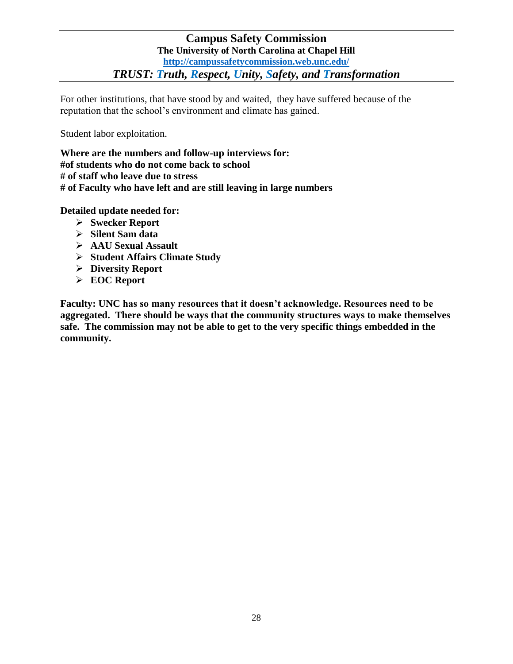For other institutions, that have stood by and waited, they have suffered because of the reputation that the school's environment and climate has gained.

Student labor exploitation.

**Where are the numbers and follow-up interviews for: #of students who do not come back to school # of staff who leave due to stress # of Faculty who have left and are still leaving in large numbers**

**Detailed update needed for:**

- **Swecker Report**
- **Silent Sam data**
- **AAU Sexual Assault**
- **Student Affairs Climate Study**
- **Diversity Report**
- **EOC Report**

**Faculty: UNC has so many resources that it doesn't acknowledge. Resources need to be aggregated. There should be ways that the community structures ways to make themselves safe. The commission may not be able to get to the very specific things embedded in the community.**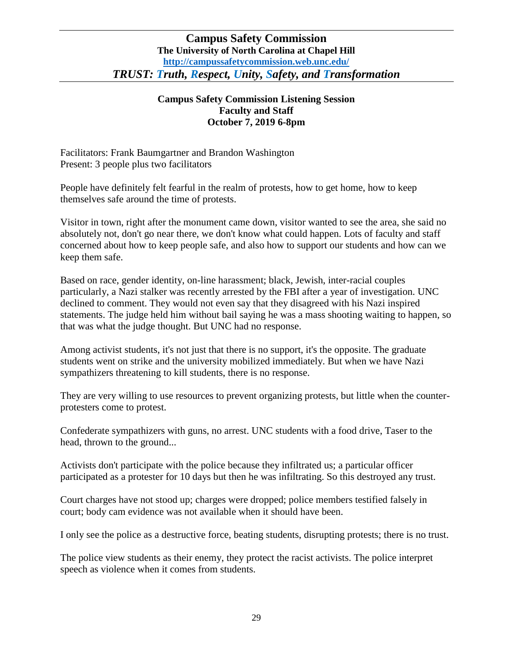## **Campus Safety Commission Listening Session Faculty and Staff October 7, 2019 6-8pm**

Facilitators: Frank Baumgartner and Brandon Washington Present: 3 people plus two facilitators

People have definitely felt fearful in the realm of protests, how to get home, how to keep themselves safe around the time of protests.

Visitor in town, right after the monument came down, visitor wanted to see the area, she said no absolutely not, don't go near there, we don't know what could happen. Lots of faculty and staff concerned about how to keep people safe, and also how to support our students and how can we keep them safe.

Based on race, gender identity, on-line harassment; black, Jewish, inter-racial couples particularly, a Nazi stalker was recently arrested by the FBI after a year of investigation. UNC declined to comment. They would not even say that they disagreed with his Nazi inspired statements. The judge held him without bail saying he was a mass shooting waiting to happen, so that was what the judge thought. But UNC had no response.

Among activist students, it's not just that there is no support, it's the opposite. The graduate students went on strike and the university mobilized immediately. But when we have Nazi sympathizers threatening to kill students, there is no response.

They are very willing to use resources to prevent organizing protests, but little when the counterprotesters come to protest.

Confederate sympathizers with guns, no arrest. UNC students with a food drive, Taser to the head, thrown to the ground...

Activists don't participate with the police because they infiltrated us; a particular officer participated as a protester for 10 days but then he was infiltrating. So this destroyed any trust.

Court charges have not stood up; charges were dropped; police members testified falsely in court; body cam evidence was not available when it should have been.

I only see the police as a destructive force, beating students, disrupting protests; there is no trust.

The police view students as their enemy, they protect the racist activists. The police interpret speech as violence when it comes from students.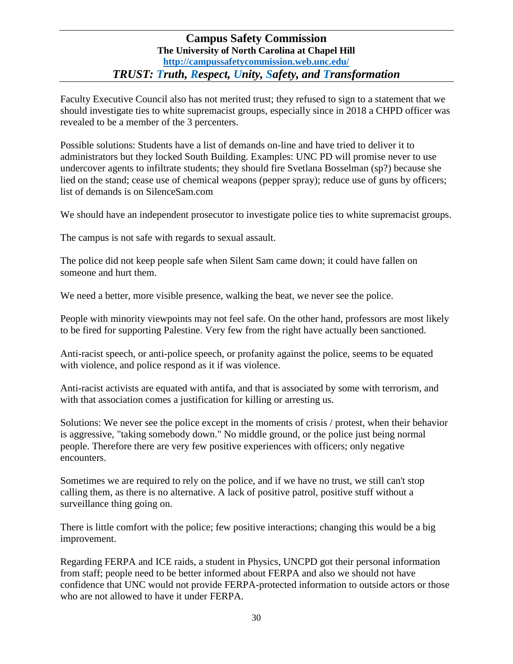Faculty Executive Council also has not merited trust; they refused to sign to a statement that we should investigate ties to white supremacist groups, especially since in 2018 a CHPD officer was revealed to be a member of the 3 percenters.

Possible solutions: Students have a list of demands on-line and have tried to deliver it to administrators but they locked South Building. Examples: UNC PD will promise never to use undercover agents to infiltrate students; they should fire Svetlana Bosselman (sp?) because she lied on the stand; cease use of chemical weapons (pepper spray); reduce use of guns by officers; list of demands is on SilenceSam.com

We should have an independent prosecutor to investigate police ties to white supremacist groups.

The campus is not safe with regards to sexual assault.

The police did not keep people safe when Silent Sam came down; it could have fallen on someone and hurt them.

We need a better, more visible presence, walking the beat, we never see the police.

People with minority viewpoints may not feel safe. On the other hand, professors are most likely to be fired for supporting Palestine. Very few from the right have actually been sanctioned.

Anti-racist speech, or anti-police speech, or profanity against the police, seems to be equated with violence, and police respond as it if was violence.

Anti-racist activists are equated with antifa, and that is associated by some with terrorism, and with that association comes a justification for killing or arresting us.

Solutions: We never see the police except in the moments of crisis / protest, when their behavior is aggressive, "taking somebody down." No middle ground, or the police just being normal people. Therefore there are very few positive experiences with officers; only negative encounters.

Sometimes we are required to rely on the police, and if we have no trust, we still can't stop calling them, as there is no alternative. A lack of positive patrol, positive stuff without a surveillance thing going on.

There is little comfort with the police; few positive interactions; changing this would be a big improvement.

Regarding FERPA and ICE raids, a student in Physics, UNCPD got their personal information from staff; people need to be better informed about FERPA and also we should not have confidence that UNC would not provide FERPA-protected information to outside actors or those who are not allowed to have it under FERPA.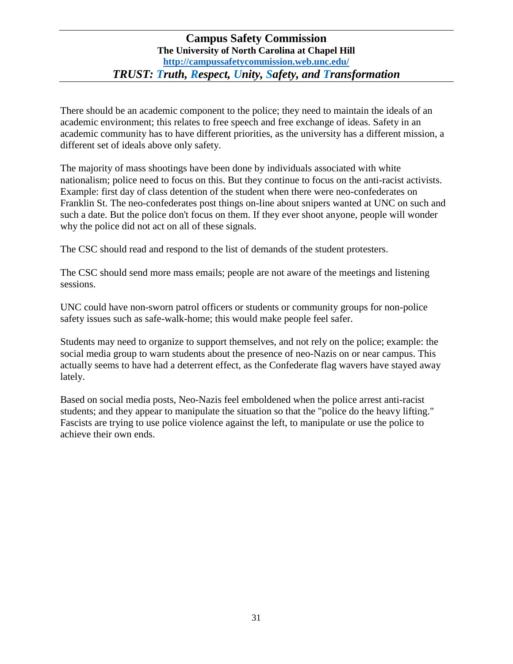There should be an academic component to the police; they need to maintain the ideals of an academic environment; this relates to free speech and free exchange of ideas. Safety in an academic community has to have different priorities, as the university has a different mission, a different set of ideals above only safety.

The majority of mass shootings have been done by individuals associated with white nationalism; police need to focus on this. But they continue to focus on the anti-racist activists. Example: first day of class detention of the student when there were neo-confederates on Franklin St. The neo-confederates post things on-line about snipers wanted at UNC on such and such a date. But the police don't focus on them. If they ever shoot anyone, people will wonder why the police did not act on all of these signals.

The CSC should read and respond to the list of demands of the student protesters.

The CSC should send more mass emails; people are not aware of the meetings and listening sessions.

UNC could have non-sworn patrol officers or students or community groups for non-police safety issues such as safe-walk-home; this would make people feel safer.

Students may need to organize to support themselves, and not rely on the police; example: the social media group to warn students about the presence of neo-Nazis on or near campus. This actually seems to have had a deterrent effect, as the Confederate flag wavers have stayed away lately.

Based on social media posts, Neo-Nazis feel emboldened when the police arrest anti-racist students; and they appear to manipulate the situation so that the "police do the heavy lifting." Fascists are trying to use police violence against the left, to manipulate or use the police to achieve their own ends.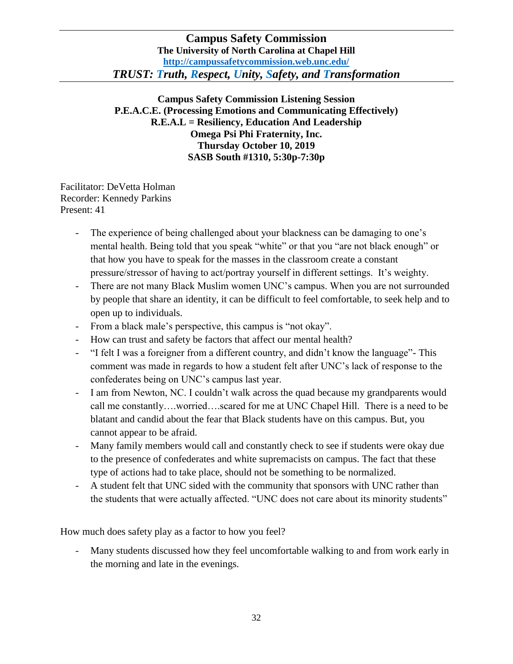**Campus Safety Commission Listening Session P.E.A.C.E. (Processing Emotions and Communicating Effectively) R.E.A.L = Resiliency, Education And Leadership Omega Psi Phi Fraternity, Inc. Thursday October 10, 2019 SASB South #1310, 5:30p-7:30p**

Facilitator: DeVetta Holman Recorder: Kennedy Parkins Present: 41

- The experience of being challenged about your blackness can be damaging to one's mental health. Being told that you speak "white" or that you "are not black enough" or that how you have to speak for the masses in the classroom create a constant pressure/stressor of having to act/portray yourself in different settings. It's weighty.
- There are not many Black Muslim women UNC's campus. When you are not surrounded by people that share an identity, it can be difficult to feel comfortable, to seek help and to open up to individuals.
- From a black male's perspective, this campus is "not okay".
- How can trust and safety be factors that affect our mental health?
- "I felt I was a foreigner from a different country, and didn't know the language"- This comment was made in regards to how a student felt after UNC's lack of response to the confederates being on UNC's campus last year.
- I am from Newton, NC. I couldn't walk across the quad because my grandparents would call me constantly….worried….scared for me at UNC Chapel Hill. There is a need to be blatant and candid about the fear that Black students have on this campus. But, you cannot appear to be afraid.
- Many family members would call and constantly check to see if students were okay due to the presence of confederates and white supremacists on campus. The fact that these type of actions had to take place, should not be something to be normalized.
- A student felt that UNC sided with the community that sponsors with UNC rather than the students that were actually affected. "UNC does not care about its minority students"

How much does safety play as a factor to how you feel?

- Many students discussed how they feel uncomfortable walking to and from work early in the morning and late in the evenings.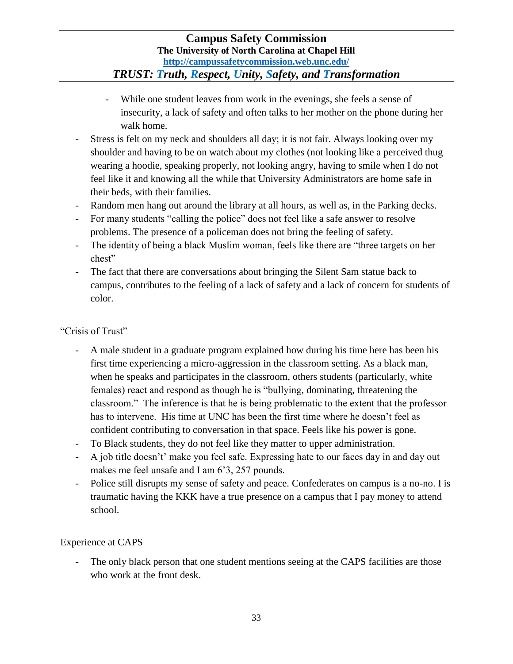- While one student leaves from work in the evenings, she feels a sense of insecurity, a lack of safety and often talks to her mother on the phone during her walk home.
- Stress is felt on my neck and shoulders all day; it is not fair. Always looking over my shoulder and having to be on watch about my clothes (not looking like a perceived thug wearing a hoodie, speaking properly, not looking angry, having to smile when I do not feel like it and knowing all the while that University Administrators are home safe in their beds, with their families.
- Random men hang out around the library at all hours, as well as, in the Parking decks.
- For many students "calling the police" does not feel like a safe answer to resolve problems. The presence of a policeman does not bring the feeling of safety.
- The identity of being a black Muslim woman, feels like there are "three targets on her chest"
- The fact that there are conversations about bringing the Silent Sam statue back to campus, contributes to the feeling of a lack of safety and a lack of concern for students of color.

## "Crisis of Trust"

- A male student in a graduate program explained how during his time here has been his first time experiencing a micro-aggression in the classroom setting. As a black man, when he speaks and participates in the classroom, others students (particularly, white females) react and respond as though he is "bullying, dominating, threatening the classroom." The inference is that he is being problematic to the extent that the professor has to intervene. His time at UNC has been the first time where he doesn't feel as confident contributing to conversation in that space. Feels like his power is gone.
- To Black students, they do not feel like they matter to upper administration.
- A job title doesn't' make you feel safe. Expressing hate to our faces day in and day out makes me feel unsafe and I am 6'3, 257 pounds.
- Police still disrupts my sense of safety and peace. Confederates on campus is a no-no. I is traumatic having the KKK have a true presence on a campus that I pay money to attend school.

# Experience at CAPS

The only black person that one student mentions seeing at the CAPS facilities are those who work at the front desk.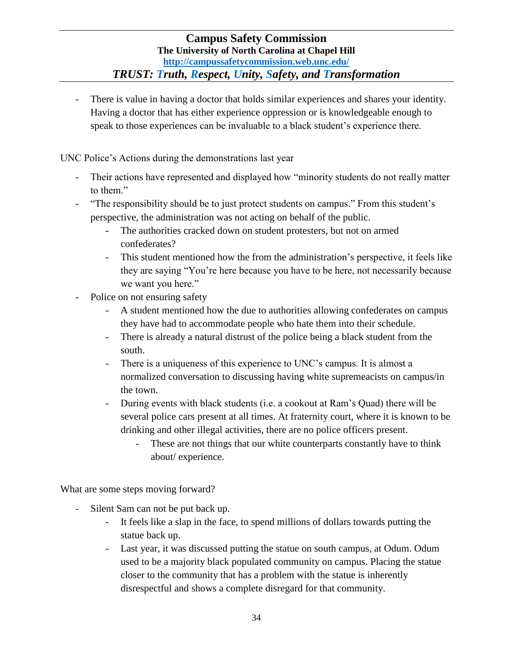- There is value in having a doctor that holds similar experiences and shares your identity. Having a doctor that has either experience oppression or is knowledgeable enough to speak to those experiences can be invaluable to a black student's experience there.

UNC Police's Actions during the demonstrations last year

- Their actions have represented and displayed how "minority students do not really matter to them."
- "The responsibility should be to just protect students on campus." From this student's perspective, the administration was not acting on behalf of the public.
	- The authorities cracked down on student protesters, but not on armed confederates?
	- This student mentioned how the from the administration's perspective, it feels like they are saying "You're here because you have to be here, not necessarily because we want you here."
- Police on not ensuring safety
	- A student mentioned how the due to authorities allowing confederates on campus they have had to accommodate people who hate them into their schedule.
	- There is already a natural distrust of the police being a black student from the south.
	- There is a uniqueness of this experience to UNC's campus. It is almost a normalized conversation to discussing having white supremeacists on campus/in the town.
	- During events with black students (i.e. a cookout at Ram's Quad) there will be several police cars present at all times. At fraternity court, where it is known to be drinking and other illegal activities, there are no police officers present.
		- These are not things that our white counterparts constantly have to think about/ experience.

What are some steps moving forward?

- Silent Sam can not be put back up.
	- It feels like a slap in the face, to spend millions of dollars towards putting the statue back up.
	- Last year, it was discussed putting the statue on south campus, at Odum. Odum used to be a majority black populated community on campus. Placing the statue closer to the community that has a problem with the statue is inherently disrespectful and shows a complete disregard for that community.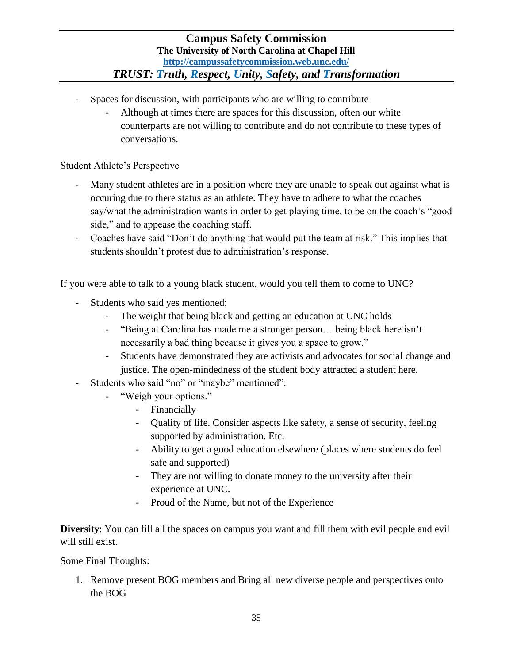- Spaces for discussion, with participants who are willing to contribute
	- Although at times there are spaces for this discussion, often our white counterparts are not willing to contribute and do not contribute to these types of conversations.

Student Athlete's Perspective

- Many student athletes are in a position where they are unable to speak out against what is occuring due to there status as an athlete. They have to adhere to what the coaches say/what the administration wants in order to get playing time, to be on the coach's "good side," and to appease the coaching staff.
- Coaches have said "Don't do anything that would put the team at risk." This implies that students shouldn't protest due to administration's response.

If you were able to talk to a young black student, would you tell them to come to UNC?

- Students who said yes mentioned:
	- The weight that being black and getting an education at UNC holds
	- "Being at Carolina has made me a stronger person… being black here isn't necessarily a bad thing because it gives you a space to grow."
	- Students have demonstrated they are activists and advocates for social change and justice. The open-mindedness of the student body attracted a student here.
- Students who said "no" or "maybe" mentioned":
	- "Weigh your options."
		- Financially
		- Quality of life. Consider aspects like safety, a sense of security, feeling supported by administration. Etc.
		- Ability to get a good education elsewhere (places where students do feel safe and supported)
		- They are not willing to donate money to the university after their experience at UNC.
		- Proud of the Name, but not of the Experience

**Diversity**: You can fill all the spaces on campus you want and fill them with evil people and evil will still exist.

Some Final Thoughts:

1. Remove present BOG members and Bring all new diverse people and perspectives onto the BOG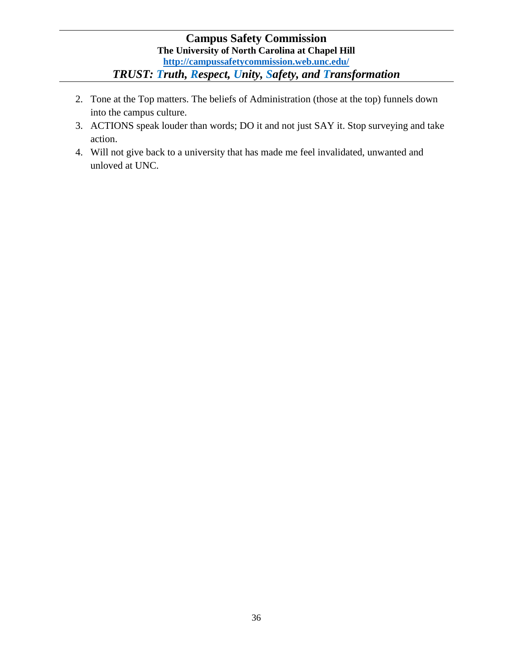- 2. Tone at the Top matters. The beliefs of Administration (those at the top) funnels down into the campus culture.
- 3. ACTIONS speak louder than words; DO it and not just SAY it. Stop surveying and take action.
- 4. Will not give back to a university that has made me feel invalidated, unwanted and unloved at UNC.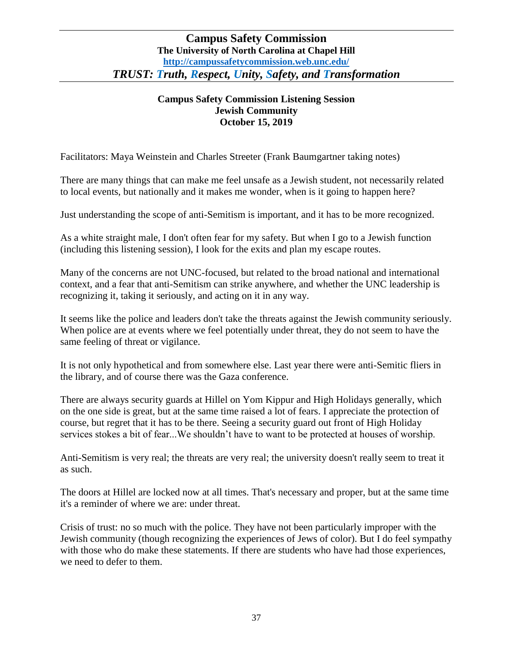## **Campus Safety Commission Listening Session Jewish Community October 15, 2019**

Facilitators: Maya Weinstein and Charles Streeter (Frank Baumgartner taking notes)

There are many things that can make me feel unsafe as a Jewish student, not necessarily related to local events, but nationally and it makes me wonder, when is it going to happen here?

Just understanding the scope of anti-Semitism is important, and it has to be more recognized.

As a white straight male, I don't often fear for my safety. But when I go to a Jewish function (including this listening session), I look for the exits and plan my escape routes.

Many of the concerns are not UNC-focused, but related to the broad national and international context, and a fear that anti-Semitism can strike anywhere, and whether the UNC leadership is recognizing it, taking it seriously, and acting on it in any way.

It seems like the police and leaders don't take the threats against the Jewish community seriously. When police are at events where we feel potentially under threat, they do not seem to have the same feeling of threat or vigilance.

It is not only hypothetical and from somewhere else. Last year there were anti-Semitic fliers in the library, and of course there was the Gaza conference.

There are always security guards at Hillel on Yom Kippur and High Holidays generally, which on the one side is great, but at the same time raised a lot of fears. I appreciate the protection of course, but regret that it has to be there. Seeing a security guard out front of High Holiday services stokes a bit of fear...We shouldn't have to want to be protected at houses of worship.

Anti-Semitism is very real; the threats are very real; the university doesn't really seem to treat it as such.

The doors at Hillel are locked now at all times. That's necessary and proper, but at the same time it's a reminder of where we are: under threat.

Crisis of trust: no so much with the police. They have not been particularly improper with the Jewish community (though recognizing the experiences of Jews of color). But I do feel sympathy with those who do make these statements. If there are students who have had those experiences, we need to defer to them.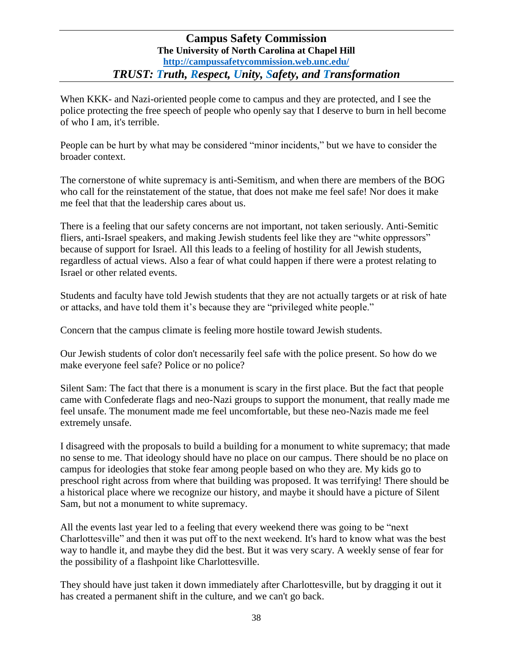When KKK- and Nazi-oriented people come to campus and they are protected, and I see the police protecting the free speech of people who openly say that I deserve to burn in hell become of who I am, it's terrible.

People can be hurt by what may be considered "minor incidents," but we have to consider the broader context.

The cornerstone of white supremacy is anti-Semitism, and when there are members of the BOG who call for the reinstatement of the statue, that does not make me feel safe! Nor does it make me feel that that the leadership cares about us.

There is a feeling that our safety concerns are not important, not taken seriously. Anti-Semitic fliers, anti-Israel speakers, and making Jewish students feel like they are "white oppressors" because of support for Israel. All this leads to a feeling of hostility for all Jewish students, regardless of actual views. Also a fear of what could happen if there were a protest relating to Israel or other related events.

Students and faculty have told Jewish students that they are not actually targets or at risk of hate or attacks, and have told them it's because they are "privileged white people."

Concern that the campus climate is feeling more hostile toward Jewish students.

Our Jewish students of color don't necessarily feel safe with the police present. So how do we make everyone feel safe? Police or no police?

Silent Sam: The fact that there is a monument is scary in the first place. But the fact that people came with Confederate flags and neo-Nazi groups to support the monument, that really made me feel unsafe. The monument made me feel uncomfortable, but these neo-Nazis made me feel extremely unsafe.

I disagreed with the proposals to build a building for a monument to white supremacy; that made no sense to me. That ideology should have no place on our campus. There should be no place on campus for ideologies that stoke fear among people based on who they are. My kids go to preschool right across from where that building was proposed. It was terrifying! There should be a historical place where we recognize our history, and maybe it should have a picture of Silent Sam, but not a monument to white supremacy.

All the events last year led to a feeling that every weekend there was going to be "next Charlottesville" and then it was put off to the next weekend. It's hard to know what was the best way to handle it, and maybe they did the best. But it was very scary. A weekly sense of fear for the possibility of a flashpoint like Charlottesville.

They should have just taken it down immediately after Charlottesville, but by dragging it out it has created a permanent shift in the culture, and we can't go back.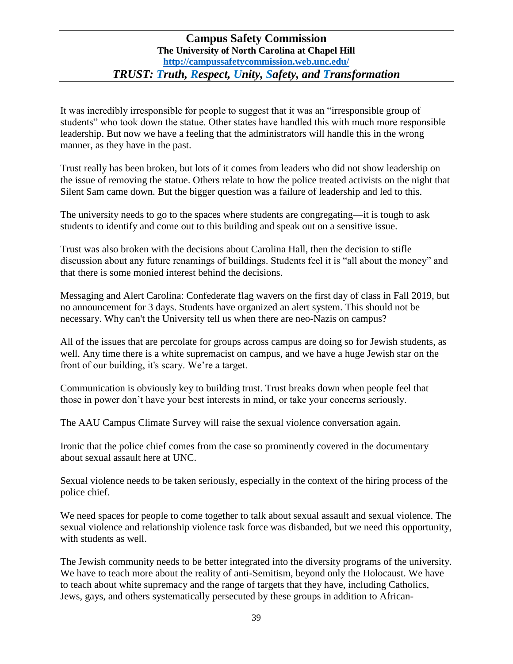It was incredibly irresponsible for people to suggest that it was an "irresponsible group of students" who took down the statue. Other states have handled this with much more responsible leadership. But now we have a feeling that the administrators will handle this in the wrong manner, as they have in the past.

Trust really has been broken, but lots of it comes from leaders who did not show leadership on the issue of removing the statue. Others relate to how the police treated activists on the night that Silent Sam came down. But the bigger question was a failure of leadership and led to this.

The university needs to go to the spaces where students are congregating—it is tough to ask students to identify and come out to this building and speak out on a sensitive issue.

Trust was also broken with the decisions about Carolina Hall, then the decision to stifle discussion about any future renamings of buildings. Students feel it is "all about the money" and that there is some monied interest behind the decisions.

Messaging and Alert Carolina: Confederate flag wavers on the first day of class in Fall 2019, but no announcement for 3 days. Students have organized an alert system. This should not be necessary. Why can't the University tell us when there are neo-Nazis on campus?

All of the issues that are percolate for groups across campus are doing so for Jewish students, as well. Any time there is a white supremacist on campus, and we have a huge Jewish star on the front of our building, it's scary. We're a target.

Communication is obviously key to building trust. Trust breaks down when people feel that those in power don't have your best interests in mind, or take your concerns seriously.

The AAU Campus Climate Survey will raise the sexual violence conversation again.

Ironic that the police chief comes from the case so prominently covered in the documentary about sexual assault here at UNC.

Sexual violence needs to be taken seriously, especially in the context of the hiring process of the police chief.

We need spaces for people to come together to talk about sexual assault and sexual violence. The sexual violence and relationship violence task force was disbanded, but we need this opportunity, with students as well.

The Jewish community needs to be better integrated into the diversity programs of the university. We have to teach more about the reality of anti-Semitism, beyond only the Holocaust. We have to teach about white supremacy and the range of targets that they have, including Catholics, Jews, gays, and others systematically persecuted by these groups in addition to African-